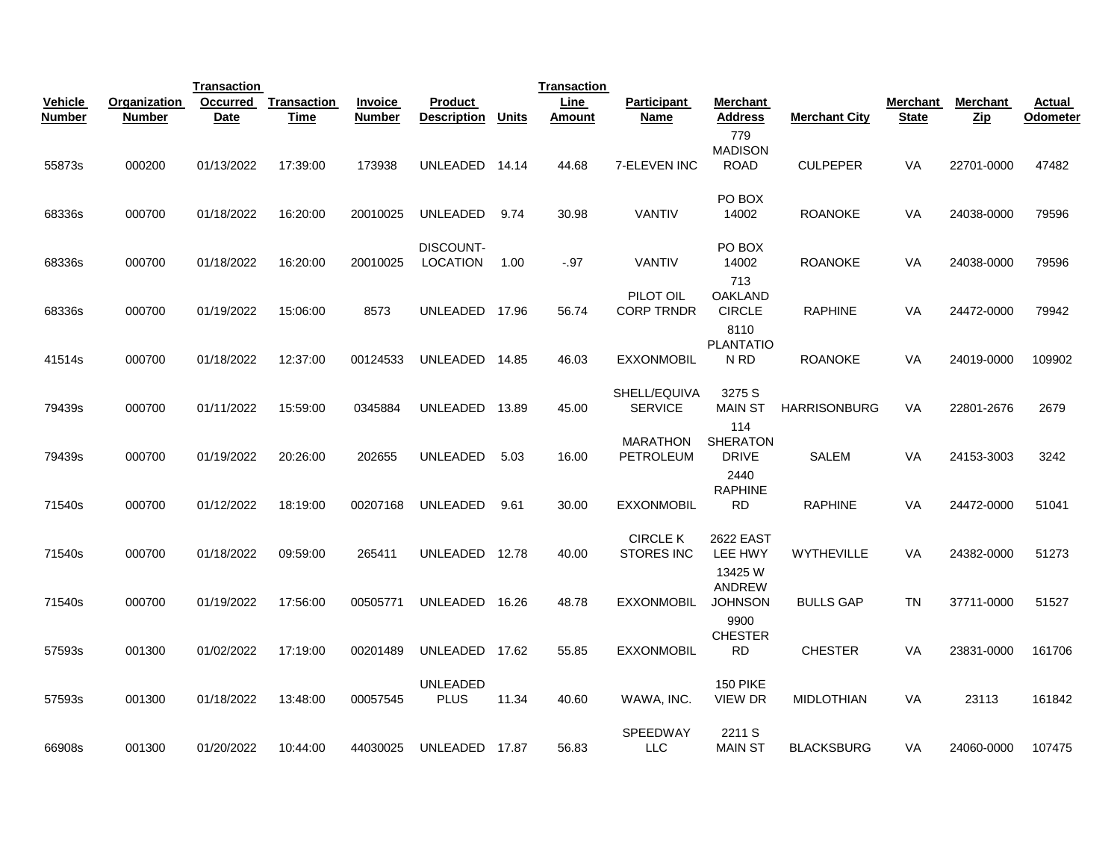|                |              | <b>Transaction</b> |             |                |                                |              | <b>Transaction</b> |                                     |                                                |                      |              |            |               |
|----------------|--------------|--------------------|-------------|----------------|--------------------------------|--------------|--------------------|-------------------------------------|------------------------------------------------|----------------------|--------------|------------|---------------|
| <b>Vehicle</b> | Organization | Occurred           | Transaction | <b>Invoice</b> | Product                        |              | <b>Line</b>        | <b>Participant</b>                  | Merchant                                       |                      | Merchant     | Merchant   | <b>Actual</b> |
| <b>Number</b>  | Number       | <b>Date</b>        | Time        | <b>Number</b>  | <b>Description</b>             | <b>Units</b> | <b>Amount</b>      | Name                                | <b>Address</b>                                 | <b>Merchant City</b> | <b>State</b> | <b>Zip</b> | Odometer      |
| 55873s         | 000200       | 01/13/2022         | 17:39:00    | 173938         | UNLEADED 14.14                 |              | 44.68              | 7-ELEVEN INC                        | 779<br><b>MADISON</b><br><b>ROAD</b>           | <b>CULPEPER</b>      | VA           | 22701-0000 | 47482         |
| 68336s         | 000700       | 01/18/2022         | 16:20:00    | 20010025       | UNLEADED                       | 9.74         | 30.98              | VANTIV                              | PO BOX<br>14002                                | <b>ROANOKE</b>       | VA           | 24038-0000 | 79596         |
| 68336s         | 000700       | 01/18/2022         | 16:20:00    | 20010025       | DISCOUNT-<br><b>LOCATION</b>   | 1.00         | $-.97$             | VANTIV                              | PO BOX<br>14002<br>713                         | <b>ROANOKE</b>       | VA           | 24038-0000 | 79596         |
| 68336s         | 000700       | 01/19/2022         | 15:06:00    | 8573           | UNLEADED 17.96                 |              | 56.74              | PILOT OIL<br><b>CORP TRNDR</b>      | OAKLAND<br><b>CIRCLE</b><br>8110               | <b>RAPHINE</b>       | VA           | 24472-0000 | 79942         |
| 41514s         | 000700       | 01/18/2022         | 12:37:00    | 00124533       | UNLEADED 14.85                 |              | 46.03              | <b>EXXONMOBIL</b>                   | <b>PLANTATIO</b><br>N RD                       | <b>ROANOKE</b>       | VA           | 24019-0000 | 109902        |
| 79439s         | 000700       | 01/11/2022         | 15:59:00    | 0345884        | UNLEADED                       | 13.89        | 45.00              | SHELL/EQUIVA<br><b>SERVICE</b>      | 3275 S<br><b>MAIN ST</b>                       | <b>HARRISONBURG</b>  | <b>VA</b>    | 22801-2676 | 2679          |
| 79439s         | 000700       | 01/19/2022         | 20:26:00    | 202655         | <b>UNLEADED</b>                | 5.03         | 16.00              | <b>MARATHON</b><br><b>PETROLEUM</b> | 114<br><b>SHERATON</b><br><b>DRIVE</b><br>2440 | <b>SALEM</b>         | VA           | 24153-3003 | 3242          |
| 71540s         | 000700       | 01/12/2022         | 18:19:00    | 00207168       | <b>UNLEADED</b>                | 9.61         | 30.00              | <b>EXXONMOBIL</b>                   | <b>RAPHINE</b><br><b>RD</b>                    | <b>RAPHINE</b>       | VA           | 24472-0000 | 51041         |
| 71540s         | 000700       | 01/18/2022         | 09:59:00    | 265411         | UNLEADED                       | 12.78        | 40.00              | <b>CIRCLE K</b><br>STORES INC       | <b>2622 EAST</b><br>LEE HWY                    | <b>WYTHEVILLE</b>    | VA           | 24382-0000 | 51273         |
| 71540s         | 000700       | 01/19/2022         | 17:56:00    | 00505771       | UNLEADED                       | 16.26        | 48.78              | EXXONMOBIL                          | 13425 W<br>ANDREW<br><b>JOHNSON</b><br>9900    | <b>BULLS GAP</b>     | TN           | 37711-0000 | 51527         |
| 57593s         | 001300       | 01/02/2022         | 17:19:00    | 00201489       | UNLEADED 17.62                 |              | 55.85              | <b>EXXONMOBIL</b>                   | <b>CHESTER</b><br><b>RD</b>                    | <b>CHESTER</b>       | <b>VA</b>    | 23831-0000 | 161706        |
| 57593s         | 001300       | 01/18/2022         | 13:48:00    | 00057545       | <b>UNLEADED</b><br><b>PLUS</b> | 11.34        | 40.60              | WAWA, INC.                          | <b>150 PIKE</b><br><b>VIEW DR</b>              | <b>MIDLOTHIAN</b>    | VA           | 23113      | 161842        |
| 66908s         | 001300       | 01/20/2022         | 10:44:00    | 44030025       | <b>UNLEADED</b>                | 17.87        | 56.83              | <b>SPEEDWAY</b><br>LLC              | 2211 S<br><b>MAIN ST</b>                       | <b>BLACKSBURG</b>    | VA           | 24060-0000 | 107475        |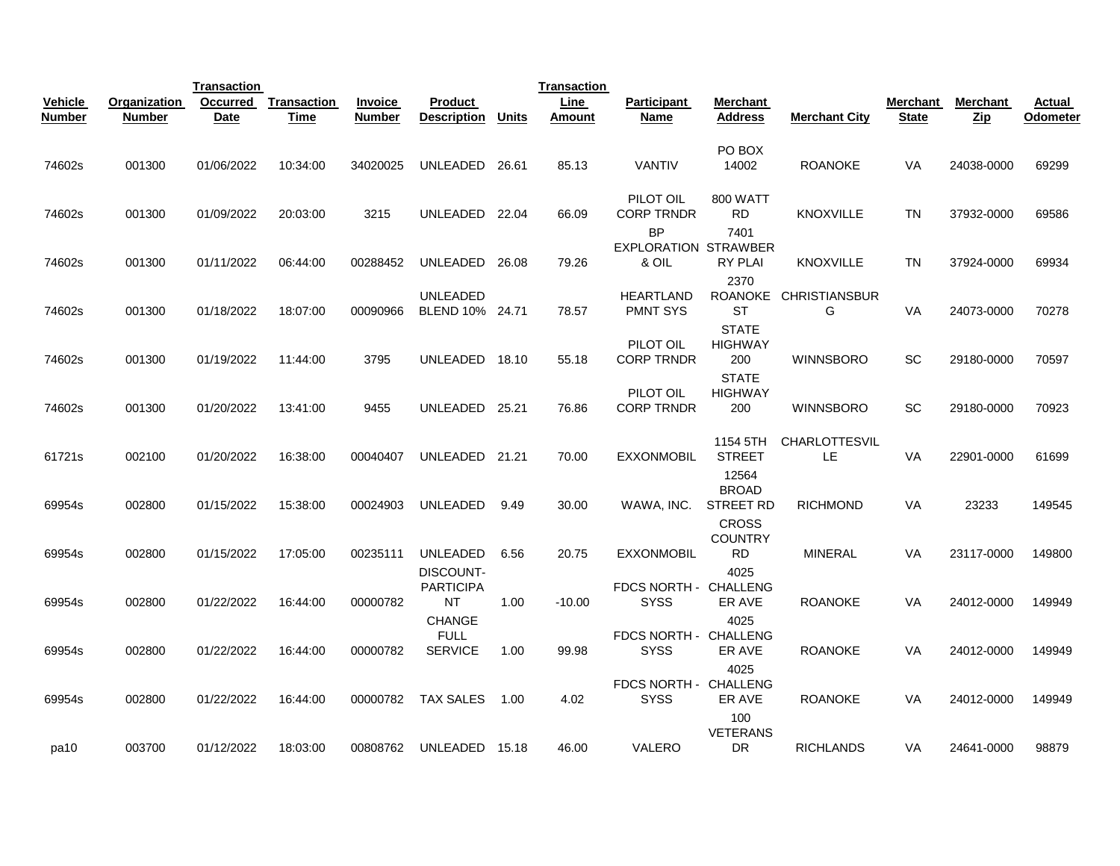|                |              | <b>Transaction</b> |                    |                |                                     |              | <b>Transaction</b> |                                                   |                                             |                                   |                 |            |          |
|----------------|--------------|--------------------|--------------------|----------------|-------------------------------------|--------------|--------------------|---------------------------------------------------|---------------------------------------------|-----------------------------------|-----------------|------------|----------|
| <b>Vehicle</b> | Organization | <b>Occurred</b>    | <b>Transaction</b> | <b>Invoice</b> | <b>Product</b>                      |              | Line               | <b>Participant</b>                                | Merchant                                    |                                   | <b>Merchant</b> | Merchant   | Actual   |
| <b>Number</b>  | Number       | <b>Date</b>        | Time               | <b>Number</b>  | <b>Description</b>                  | <b>Units</b> | <b>Amount</b>      | <b>Name</b>                                       | <b>Address</b>                              | Merchant City                     | <b>State</b>    | Zip        | Odometer |
| 74602s         | 001300       | 01/06/2022         | 10:34:00           | 34020025       | UNLEADED                            | 26.61        | 85.13              | VANTIV                                            | PO BOX<br>14002                             | <b>ROANOKE</b>                    | VA              | 24038-0000 | 69299    |
| 74602s         | 001300       | 01/09/2022         | 20:03:00           | 3215           | UNLEADED                            | 22.04        | 66.09              | PILOT OIL<br><b>CORP TRNDR</b>                    | <b>800 WATT</b><br><b>RD</b>                | <b>KNOXVILLE</b>                  | <b>TN</b>       | 37932-0000 | 69586    |
| 74602s         | 001300       | 01/11/2022         | 06:44:00           | 00288452       | UNLEADED                            | 26.08        | 79.26              | <b>BP</b><br><b>EXPLORATION STRAWBER</b><br>& OIL | 7401<br><b>RY PLAI</b>                      | <b>KNOXVILLE</b>                  | <b>TN</b>       | 37924-0000 | 69934    |
| 74602s         | 001300       | 01/18/2022         | 18:07:00           | 00090966       | UNLEADED<br>BLEND 10% 24.71         |              | 78.57              | <b>HEARTLAND</b><br><b>PMNT SYS</b>               | 2370<br><b>ROANOKE</b><br><b>ST</b>         | <b>CHRISTIANSBUR</b><br>G         | VA              | 24073-0000 | 70278    |
| 74602s         | 001300       | 01/19/2022         | 11:44:00           | 3795           | UNLEADED                            | 18.10        | 55.18              | PILOT OIL<br><b>CORP TRNDR</b>                    | <b>STATE</b><br><b>HIGHWAY</b><br>200       | <b>WINNSBORO</b>                  | SC              | 29180-0000 | 70597    |
| 74602s         | 001300       | 01/20/2022         | 13:41:00           | 9455           | UNLEADED 25.21                      |              | 76.86              | PILOT OIL<br><b>CORP TRNDR</b>                    | <b>STATE</b><br><b>HIGHWAY</b><br>200       | <b>WINNSBORO</b>                  | SC              | 29180-0000 | 70923    |
| 61721s         | 002100       | 01/20/2022         | 16:38:00           | 00040407       | UNLEADED 21.21                      |              | 70.00              | <b>EXXONMOBIL</b>                                 | 1154 5TH<br><b>STREET</b>                   | <b>CHARLOTTESVIL</b><br><b>LE</b> | <b>VA</b>       | 22901-0000 | 61699    |
| 69954s         | 002800       | 01/15/2022         | 15:38:00           | 00024903       | UNLEADED                            | 9.49         | 30.00              | WAWA, INC.                                        | 12564<br><b>BROAD</b><br>STREET RD          | <b>RICHMOND</b>                   | VA              | 23233      | 149545   |
| 69954s         | 002800       | 01/15/2022         | 17:05:00           | 00235111       | <b>UNLEADED</b>                     | 6.56         | 20.75              | <b>EXXONMOBIL</b>                                 | <b>CROSS</b><br><b>COUNTRY</b><br><b>RD</b> | <b>MINERAL</b>                    | VA              | 23117-0000 | 149800   |
| 69954s         | 002800       | 01/22/2022         | 16:44:00           | 00000782       | DISCOUNT-<br><b>PARTICIPA</b><br>NT | 1.00         | $-10.00$           | FDCS NORTH - CHALLENG<br><b>SYSS</b>              | 4025<br>ER AVE                              | <b>ROANOKE</b>                    | VA              | 24012-0000 | 149949   |
|                |              |                    |                    |                | <b>CHANGE</b><br><b>FULL</b>        |              |                    | FDCS NORTH - CHALLENG                             | 4025                                        |                                   |                 |            |          |
| 69954s         | 002800       | 01/22/2022         | 16:44:00           | 00000782       | <b>SERVICE</b>                      | 1.00         | 99.98              | <b>SYSS</b><br>FDCS NORTH - CHALLENG              | ER AVE<br>4025                              | <b>ROANOKE</b>                    | VA              | 24012-0000 | 149949   |
| 69954s         | 002800       | 01/22/2022         | 16:44:00           | 00000782       | <b>TAX SALES</b>                    | 1.00         | 4.02               | <b>SYSS</b>                                       | ER AVE<br>100                               | <b>ROANOKE</b>                    | <b>VA</b>       | 24012-0000 | 149949   |
| pa10           | 003700       | 01/12/2022         | 18:03:00           | 00808762       | <b>UNLEADED</b>                     | 15.18        | 46.00              | VALERO                                            | <b>VETERANS</b><br>DR.                      | <b>RICHLANDS</b>                  | VA              | 24641-0000 | 98879    |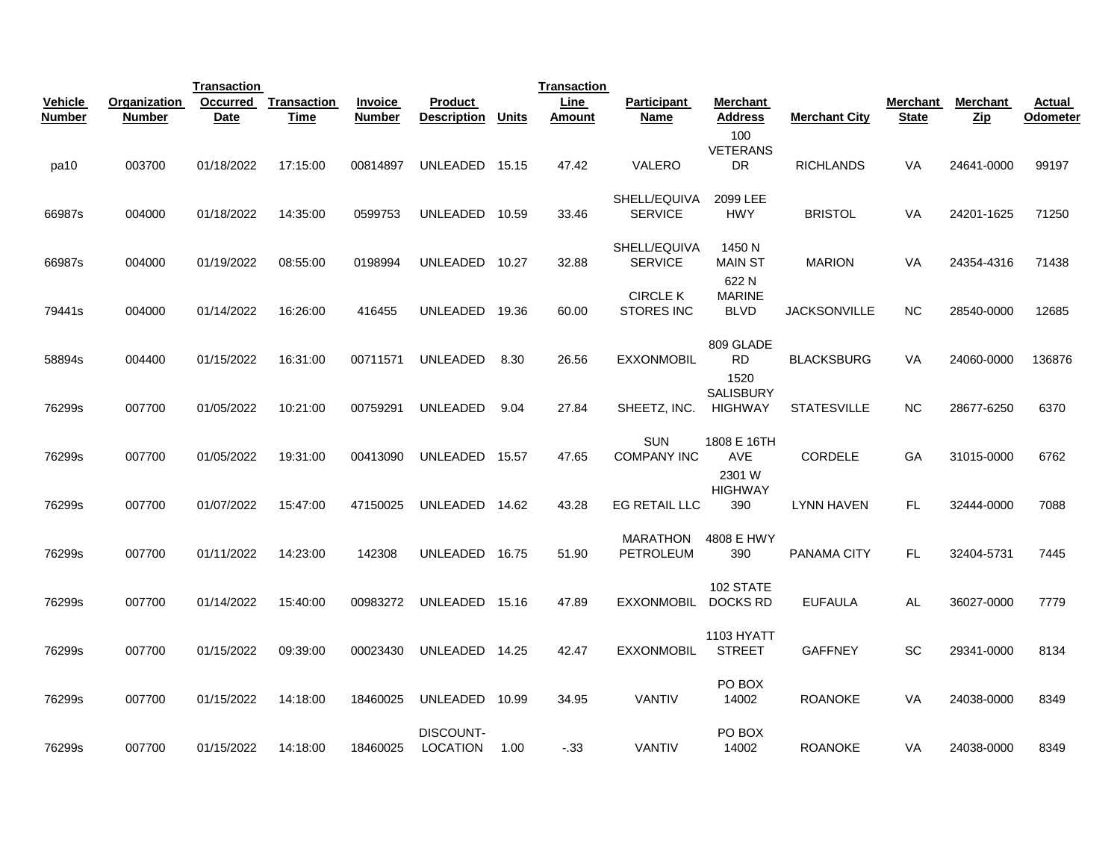|                |               | <b>Transaction</b> |                    |                |                                     |              | <b>Transaction</b> |                                      |                                     |                      |              |                      |          |
|----------------|---------------|--------------------|--------------------|----------------|-------------------------------------|--------------|--------------------|--------------------------------------|-------------------------------------|----------------------|--------------|----------------------|----------|
| <b>Vehicle</b> | Organization  | <b>Occurred</b>    | <b>Transaction</b> | <b>Invoice</b> | Product                             |              | Line               | Participant                          | <b>Merchant</b>                     |                      | Merchant     | <b>Merchant</b>      | Actual   |
| <b>Number</b>  | <b>Number</b> | <b>Date</b>        | Time               | <b>Number</b>  | <b>Description</b>                  | <b>Units</b> | Amount             | Name                                 | <b>Address</b>                      | <b>Merchant City</b> | <b>State</b> | $_{\underline{Zip}}$ | Odometer |
| pa10           | 003700        | 01/18/2022         | 17:15:00           | 00814897       | UNLEADED                            | 15.15        | 47.42              | VALERO                               | 100<br><b>VETERANS</b><br><b>DR</b> | <b>RICHLANDS</b>     | VA           | 24641-0000           | 99197    |
| 66987s         | 004000        | 01/18/2022         | 14:35:00           | 0599753        | <b>UNLEADED</b>                     | 10.59        | 33.46              | SHELL/EQUIVA<br><b>SERVICE</b>       | 2099 LEE<br><b>HWY</b>              | <b>BRISTOL</b>       | <b>VA</b>    | 24201-1625           | 71250    |
| 66987s         | 004000        | 01/19/2022         | 08:55:00           | 0198994        | UNLEADED 10.27                      |              | 32.88              | SHELL/EQUIVA<br><b>SERVICE</b>       | 1450 N<br><b>MAIN ST</b><br>622 N   | <b>MARION</b>        | VA           | 24354-4316           | 71438    |
| 79441s         | 004000        | 01/14/2022         | 16:26:00           | 416455         | UNLEADED                            | 19.36        | 60.00              | <b>CIRCLE K</b><br><b>STORES INC</b> | <b>MARINE</b><br><b>BLVD</b>        | <b>JACKSONVILLE</b>  | <b>NC</b>    | 28540-0000           | 12685    |
| 58894s         | 004400        | 01/15/2022         | 16:31:00           | 00711571       | <b>UNLEADED</b>                     | 8.30         | 26.56              | <b>EXXONMOBIL</b>                    | 809 GLADE<br><b>RD</b><br>1520      | <b>BLACKSBURG</b>    | VA           | 24060-0000           | 136876   |
| 76299s         | 007700        | 01/05/2022         | 10:21:00           | 00759291       | <b>UNLEADED</b>                     | 9.04         | 27.84              | SHEETZ, INC.                         | SALISBURY<br><b>HIGHWAY</b>         | <b>STATESVILLE</b>   | <b>NC</b>    | 28677-6250           | 6370     |
| 76299s         | 007700        | 01/05/2022         | 19:31:00           | 00413090       | UNLEADED 15.57                      |              | 47.65              | <b>SUN</b><br><b>COMPANY INC</b>     | 1808 E 16TH<br><b>AVE</b><br>2301 W | <b>CORDELE</b>       | GA           | 31015-0000           | 6762     |
| 76299s         | 007700        | 01/07/2022         | 15:47:00           | 47150025       | UNLEADED 14.62                      |              | 43.28              | EG RETAIL LLC                        | <b>HIGHWAY</b><br>390               | <b>LYNN HAVEN</b>    | <b>FL</b>    | 32444-0000           | 7088     |
| 76299s         | 007700        | 01/11/2022         | 14:23:00           | 142308         | <b>UNLEADED</b>                     | 16.75        | 51.90              | MARATHON<br>PETROLEUM                | 4808 E HWY<br>390                   | PANAMA CITY          | FL.          | 32404-5731           | 7445     |
| 76299s         | 007700        | 01/14/2022         | 15:40:00           | 00983272       | UNLEADED 15.16                      |              | 47.89              | <b>EXXONMOBIL</b>                    | 102 STATE<br><b>DOCKS RD</b>        | <b>EUFAULA</b>       | AL.          | 36027-0000           | 7779     |
| 76299s         | 007700        | 01/15/2022         | 09:39:00           | 00023430       | UNLEADED 14.25                      |              | 42.47              | <b>EXXONMOBIL</b>                    | 1103 HYATT<br><b>STREET</b>         | <b>GAFFNEY</b>       | SC           | 29341-0000           | 8134     |
| 76299s         | 007700        | 01/15/2022         | 14:18:00           | 18460025       | <b>UNLEADED</b>                     | 10.99        | 34.95              | <b>VANTIV</b>                        | PO BOX<br>14002                     | <b>ROANOKE</b>       | <b>VA</b>    | 24038-0000           | 8349     |
| 76299s         | 007700        | 01/15/2022         | 14:18:00           | 18460025       | <b>DISCOUNT-</b><br><b>LOCATION</b> | 1.00         | $-.33$             | <b>VANTIV</b>                        | PO BOX<br>14002                     | <b>ROANOKE</b>       | VA           | 24038-0000           | 8349     |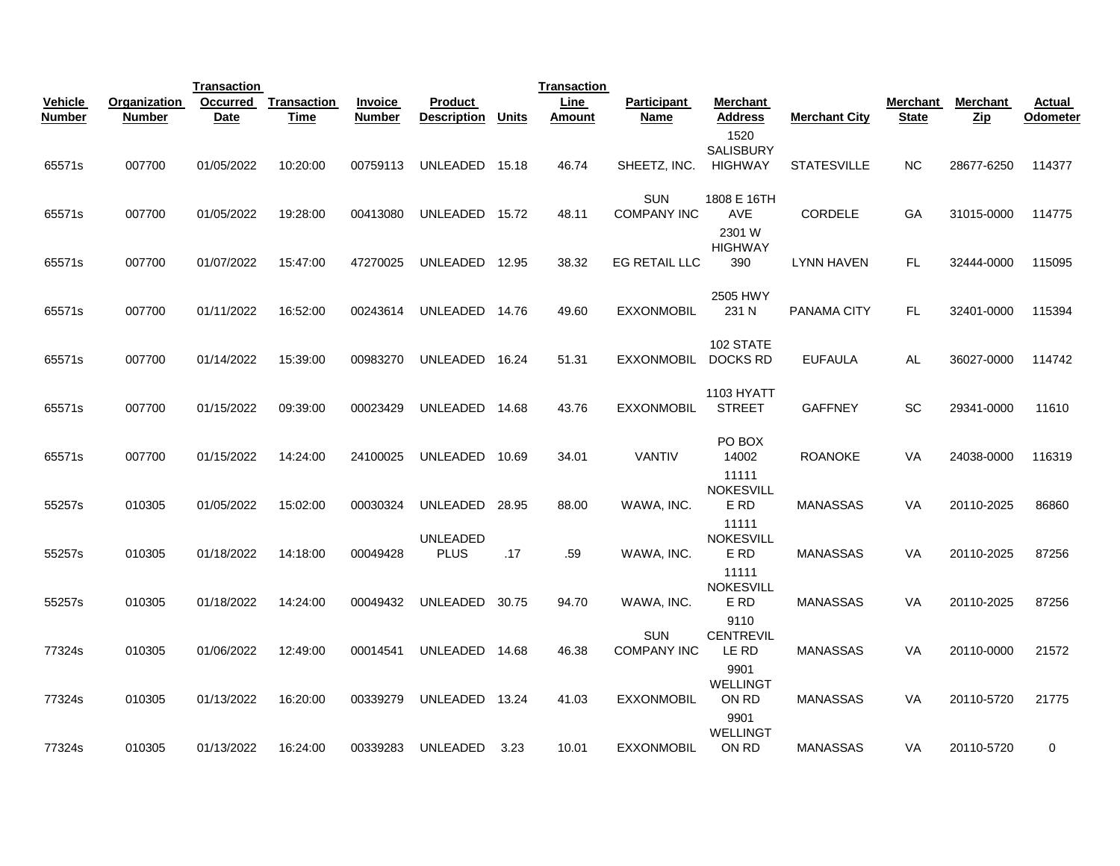|                                 |                        | <b>Transaction</b> |                     |                                 |                                      |       | <b>Transaction</b> |                                  |                                     |                      |                          |                        |                    |
|---------------------------------|------------------------|--------------------|---------------------|---------------------------------|--------------------------------------|-------|--------------------|----------------------------------|-------------------------------------|----------------------|--------------------------|------------------------|--------------------|
| <b>Vehicle</b><br><b>Number</b> | Organization<br>Number | Occurred<br>Date   | Transaction<br>Time | <b>Invoice</b><br><b>Number</b> | <b>Product</b><br><b>Description</b> | Units | Line<br>Amount     | Participant<br>Name              | Merchant<br><b>Address</b>          | <b>Merchant City</b> | Merchant<br><b>State</b> | Merchant<br><b>Zip</b> | Actual<br>Odometer |
| 65571s                          | 007700                 | 01/05/2022         | 10:20:00            | 00759113                        | UNLEADED                             | 15.18 | 46.74              | SHEETZ, INC.                     | 1520<br><b>SALISBURY</b><br>HIGHWAY | <b>STATESVILLE</b>   | <b>NC</b>                | 28677-6250             | 114377             |
| 65571s                          | 007700                 | 01/05/2022         | 19:28:00            | 00413080                        | UNLEADED 15.72                       |       | 48.11              | <b>SUN</b><br><b>COMPANY INC</b> | 1808 E 16TH<br>AVE                  | <b>CORDELE</b>       | GA                       | 31015-0000             | 114775             |
| 65571s                          | 007700                 | 01/07/2022         | 15:47:00            | 47270025                        | UNLEADED 12.95                       |       | 38.32              | EG RETAIL LLC                    | 2301 W<br><b>HIGHWAY</b><br>390     | LYNN HAVEN           | FL                       | 32444-0000             | 115095             |
| 65571s                          | 007700                 | 01/11/2022         | 16:52:00            | 00243614                        | UNLEADED 14.76                       |       | 49.60              | <b>EXXONMOBIL</b>                | 2505 HWY<br>231 N                   | <b>PANAMA CITY</b>   | <b>FL</b>                | 32401-0000             | 115394             |
| 65571s                          | 007700                 | 01/14/2022         | 15:39:00            | 00983270                        | UNLEADED 16.24                       |       | 51.31              | EXXONMOBIL DOCKS RD              | 102 STATE                           | <b>EUFAULA</b>       | AL                       | 36027-0000             | 114742             |
| 65571s                          | 007700                 | 01/15/2022         | 09:39:00            | 00023429                        | UNLEADED 14.68                       |       | 43.76              | <b>EXXONMOBIL</b>                | <b>1103 HYATT</b><br><b>STREET</b>  | <b>GAFFNEY</b>       | SC                       | 29341-0000             | 11610              |
| 65571s                          | 007700                 | 01/15/2022         | 14:24:00            | 24100025                        | UNLEADED 10.69                       |       | 34.01              | <b>VANTIV</b>                    | PO BOX<br>14002                     | <b>ROANOKE</b>       | VA                       | 24038-0000             | 116319             |
| 55257s                          | 010305                 | 01/05/2022         | 15:02:00            | 00030324                        | UNLEADED                             | 28.95 | 88.00              | WAWA, INC.                       | 11111<br><b>NOKESVILL</b><br>E RD   | <b>MANASSAS</b>      | VA                       | 20110-2025             | 86860              |
| 55257s                          | 010305                 | 01/18/2022         | 14:18:00            | 00049428                        | <b>UNLEADED</b><br><b>PLUS</b>       | .17   | .59                | WAWA, INC.                       | 11111<br><b>NOKESVILL</b><br>E RD   | <b>MANASSAS</b>      | VA                       | 20110-2025             | 87256              |
| 55257s                          | 010305                 | 01/18/2022         | 14:24:00            | 00049432                        | UNLEADED                             | 30.75 | 94.70              | WAWA, INC.                       | 11111<br><b>NOKESVILL</b><br>E RD   | <b>MANASSAS</b>      | VA                       | 20110-2025             | 87256              |
| 77324s                          | 010305                 | 01/06/2022         | 12:49:00            | 00014541                        | UNLEADED 14.68                       |       | 46.38              | <b>SUN</b><br><b>COMPANY INC</b> | 9110<br><b>CENTREVIL</b><br>LE RD   | <b>MANASSAS</b>      | VA                       | 20110-0000             | 21572              |
| 77324s                          | 010305                 | 01/13/2022         | 16:20:00            | 00339279                        | UNLEADED 13.24                       |       | 41.03              | <b>EXXONMOBIL</b>                | 9901<br><b>WELLINGT</b><br>ON RD    | <b>MANASSAS</b>      | VA                       | 20110-5720             | 21775              |
| 77324s                          | 010305                 | 01/13/2022         | 16:24:00            | 00339283                        | UNLEADED                             | 3.23  | 10.01              | EXXONMOBIL                       | 9901<br><b>WELLINGT</b><br>ON RD    | <b>MANASSAS</b>      | VA                       | 20110-5720             | 0                  |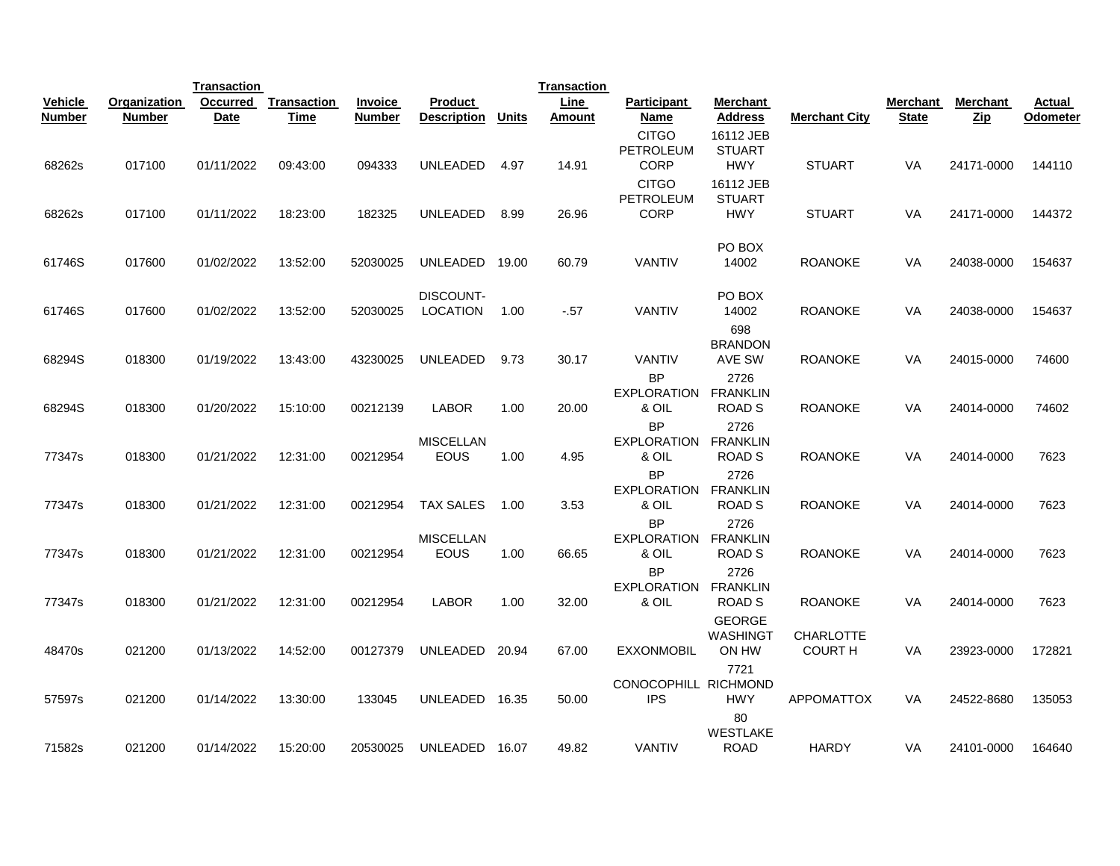|                                 |                        | <b>Transaction</b>      |                     |                                 |                                 |       | <b>Transaction</b> |                                                 |                                          |                      |                          |                                  |                           |
|---------------------------------|------------------------|-------------------------|---------------------|---------------------------------|---------------------------------|-------|--------------------|-------------------------------------------------|------------------------------------------|----------------------|--------------------------|----------------------------------|---------------------------|
| <b>Vehicle</b><br><b>Number</b> | Organization<br>Number | Occurred<br><b>Date</b> | Transaction<br>Time | <b>Invoice</b><br><b>Number</b> | Product<br><b>Description</b>   | Units | Line<br>Amount     | Participant<br>Name                             | <b>Merchant</b><br><b>Address</b>        | <b>Merchant City</b> | Merchant<br><b>State</b> | Merchant<br>$_{\underline{Zip}}$ | <b>Actual</b><br>Odometer |
|                                 |                        |                         |                     |                                 |                                 |       |                    | <b>CITGO</b><br>PETROLEUM                       | 16112 JEB<br><b>STUART</b>               |                      |                          |                                  |                           |
| 68262s                          | 017100                 | 01/11/2022              | 09:43:00            | 094333                          | UNLEADED                        | 4.97  | 14.91              | <b>CORP</b>                                     | <b>HWY</b>                               | <b>STUART</b>        | VA                       | 24171-0000                       | 144110                    |
| 68262s                          | 017100                 | 01/11/2022              | 18:23:00            | 182325                          | UNLEADED                        | 8.99  | 26.96              | <b>CITGO</b><br><b>PETROLEUM</b><br><b>CORP</b> | 16112 JEB<br><b>STUART</b><br><b>HWY</b> | <b>STUART</b>        | VA                       | 24171-0000                       | 144372                    |
|                                 |                        |                         |                     |                                 |                                 |       |                    |                                                 |                                          |                      |                          |                                  |                           |
| 61746S                          | 017600                 | 01/02/2022              | 13:52:00            | 52030025                        | UNLEADED                        | 19.00 | 60.79              | <b>VANTIV</b>                                   | PO BOX<br>14002                          | <b>ROANOKE</b>       | VA                       | 24038-0000                       | 154637                    |
|                                 |                        |                         |                     |                                 | DISCOUNT-                       |       |                    |                                                 | PO BOX                                   |                      |                          |                                  |                           |
| 61746S                          | 017600                 | 01/02/2022              | 13:52:00            | 52030025                        | <b>LOCATION</b>                 | 1.00  | $-.57$             | <b>VANTIV</b>                                   | 14002<br>698                             | <b>ROANOKE</b>       | VA                       | 24038-0000                       | 154637                    |
| 68294S                          | 018300                 | 01/19/2022              | 13:43:00            | 43230025                        | UNLEADED                        | 9.73  | 30.17              | <b>VANTIV</b>                                   | <b>BRANDON</b><br>AVE SW                 | <b>ROANOKE</b>       | VA                       | 24015-0000                       | 74600                     |
|                                 |                        |                         |                     |                                 |                                 |       |                    | <b>BP</b><br><b>EXPLORATION</b>                 | 2726<br><b>FRANKLIN</b>                  |                      |                          |                                  |                           |
| 68294S                          | 018300                 | 01/20/2022              | 15:10:00            | 00212139                        | <b>LABOR</b>                    | 1.00  | 20.00              | & OIL<br><b>BP</b>                              | <b>ROAD S</b><br>2726                    | <b>ROANOKE</b>       | <b>VA</b>                | 24014-0000                       | 74602                     |
| 77347s                          | 018300                 | 01/21/2022              | 12:31:00            | 00212954                        | <b>MISCELLAN</b><br>EOUS        | 1.00  | 4.95               | EXPLORATION<br>& OIL                            | FRANKLIN<br><b>ROAD S</b>                | <b>ROANOKE</b>       | VA                       | 24014-0000                       | 7623                      |
|                                 |                        |                         |                     |                                 |                                 |       |                    | <b>BP</b><br><b>EXPLORATION</b>                 | 2726<br>FRANKLIN                         |                      |                          |                                  |                           |
| 77347s                          | 018300                 | 01/21/2022              | 12:31:00            | 00212954                        | <b>TAX SALES</b>                | 1.00  | 3.53               | & OIL<br><b>BP</b>                              | ROAD <sub>S</sub><br>2726                | <b>ROANOKE</b>       | VA                       | 24014-0000                       | 7623                      |
| 77347s                          | 018300                 | 01/21/2022              | 12:31:00            | 00212954                        | <b>MISCELLAN</b><br><b>EOUS</b> | 1.00  | 66.65              | EXPLORATION<br>& OIL                            | <b>FRANKLIN</b><br><b>ROAD S</b>         | <b>ROANOKE</b>       | <b>VA</b>                | 24014-0000                       | 7623                      |
|                                 |                        |                         |                     |                                 |                                 |       |                    | <b>BP</b>                                       | 2726                                     |                      |                          |                                  |                           |
| 77347s                          | 018300                 | 01/21/2022              | 12:31:00            | 00212954                        | <b>LABOR</b>                    | 1.00  | 32.00              | EXPLORATION<br>& OIL                            | <b>FRANKLIN</b><br><b>ROAD S</b>         | <b>ROANOKE</b>       | VA                       | 24014-0000                       | 7623                      |
|                                 |                        |                         |                     |                                 |                                 |       |                    |                                                 | <b>GEORGE</b><br>WASHINGT                | CHARLOTTE            |                          |                                  |                           |
| 48470s                          | 021200                 | 01/13/2022              | 14:52:00            | 00127379                        | UNLEADED                        | 20.94 | 67.00              | <b>EXXONMOBIL</b>                               | ON HW<br>7721                            | <b>COURT H</b>       | VA                       | 23923-0000                       | 172821                    |
| 57597s                          | 021200                 | 01/14/2022              | 13:30:00            | 133045                          | UNLEADED                        | 16.35 | 50.00              | CONOCOPHILL RICHMOND<br><b>IPS</b>              | <b>HWY</b>                               | <b>APPOMATTOX</b>    | <b>VA</b>                | 24522-8680                       | 135053                    |
|                                 |                        |                         |                     |                                 |                                 |       |                    |                                                 | 80                                       |                      |                          |                                  |                           |
| 71582s                          | 021200                 | 01/14/2022              | 15:20:00            | 20530025                        | UNLEADED                        | 16.07 | 49.82              | <b>VANTIV</b>                                   | WESTLAKE<br><b>ROAD</b>                  | <b>HARDY</b>         | VA                       | 24101-0000                       | 164640                    |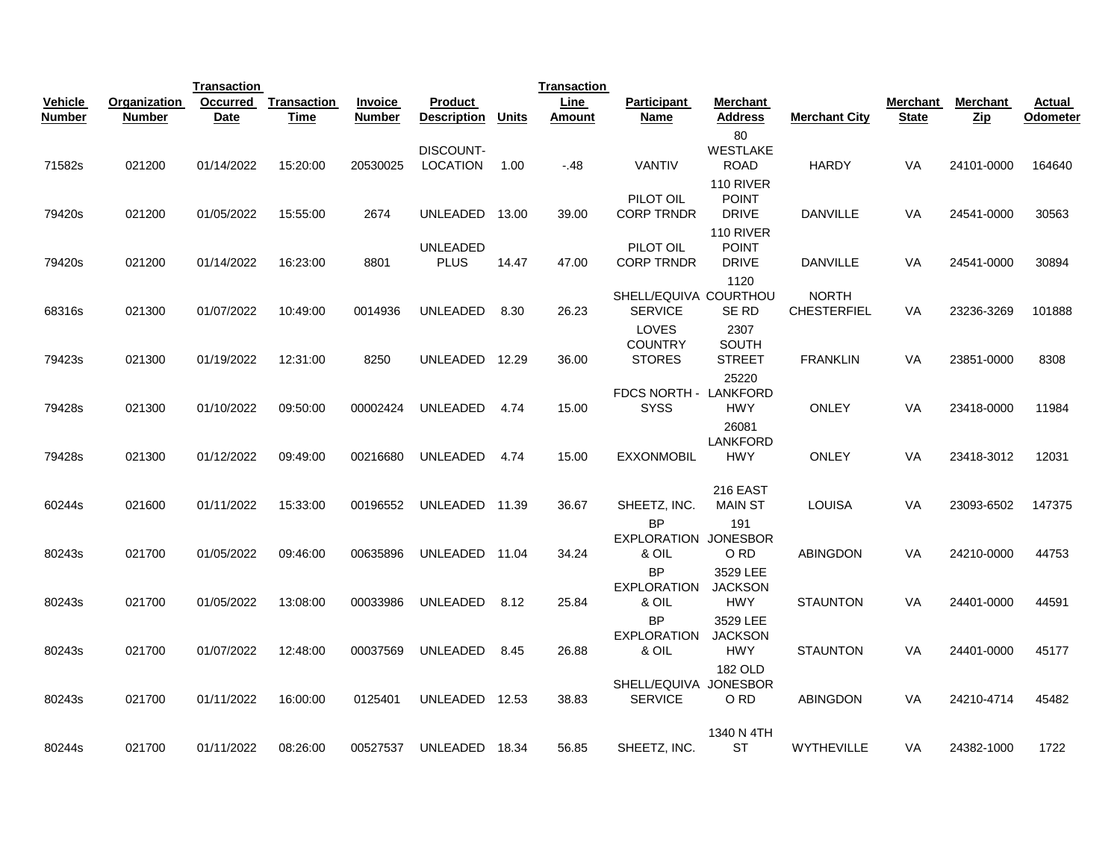|                  |                  | <b>Transaction</b>       |                      |                  |                                                 |               | <b>Transaction</b> |                                            |                                                                                   |                                    |              |                          |                 |
|------------------|------------------|--------------------------|----------------------|------------------|-------------------------------------------------|---------------|--------------------|--------------------------------------------|-----------------------------------------------------------------------------------|------------------------------------|--------------|--------------------------|-----------------|
| <b>Vehicle</b>   | Organization     | Occurred                 | Transaction          | <b>Invoice</b>   | <b>Product</b>                                  |               | Line               | <b>Participant</b>                         | Merchant                                                                          |                                    | Merchant     | <b>Merchant</b>          | Actual          |
| <b>Number</b>    | <b>Number</b>    | Date                     | Time                 | <b>Number</b>    | <b>Description</b>                              | <b>Units</b>  | Amount             | <b>Name</b>                                | Address                                                                           | <b>Merchant City</b>               | <b>State</b> | <b>Zip</b>               | Odometer        |
| 71582s<br>79420s | 021200<br>021200 | 01/14/2022<br>01/05/2022 | 15:20:00<br>15:55:00 | 20530025<br>2674 | <b>DISCOUNT-</b><br><b>LOCATION</b><br>UNLEADED | 1.00<br>13.00 | $-.48$<br>39.00    | VANTIV<br>PILOT OIL<br><b>CORP TRNDR</b>   | 80<br><b>WESTLAKE</b><br><b>ROAD</b><br>110 RIVER<br><b>POINT</b><br><b>DRIVE</b> | <b>HARDY</b><br><b>DANVILLE</b>    | VA<br>VA     | 24101-0000<br>24541-0000 | 164640<br>30563 |
|                  |                  |                          |                      |                  |                                                 |               |                    |                                            | 110 RIVER                                                                         |                                    |              |                          |                 |
| 79420s           | 021200           | 01/14/2022               | 16:23:00             | 8801             | <b>UNLEADED</b><br><b>PLUS</b>                  | 14.47         | 47.00              | PILOT OIL<br><b>CORP TRNDR</b>             | <b>POINT</b><br><b>DRIVE</b><br>1120                                              | <b>DANVILLE</b>                    | <b>VA</b>    | 24541-0000               | 30894           |
| 68316s           | 021300           | 01/07/2022               | 10:49:00             | 0014936          | <b>UNLEADED</b>                                 | 8.30          | 26.23              | SHELL/EQUIVA COURTHOU<br><b>SERVICE</b>    | SE RD                                                                             | <b>NORTH</b><br><b>CHESTERFIEL</b> | VA           | 23236-3269               | 101888          |
| 79423s           | 021300           | 01/19/2022               | 12:31:00             | 8250             | UNLEADED                                        | 12.29         | 36.00              | LOVES<br><b>COUNTRY</b><br><b>STORES</b>   | 2307<br><b>SOUTH</b><br><b>STREET</b>                                             | <b>FRANKLIN</b>                    | VA           | 23851-0000               | 8308            |
| 79428s           | 021300           | 01/10/2022               | 09:50:00             | 00002424         | UNLEADED                                        | 4.74          | 15.00              | FDCS NORTH - LANKFORD<br><b>SYSS</b>       | 25220<br><b>HWY</b>                                                               | <b>ONLEY</b>                       | <b>VA</b>    | 23418-0000               | 11984           |
| 79428s           | 021300           | 01/12/2022               | 09:49:00             | 00216680         | UNLEADED                                        | 4.74          | 15.00              | <b>EXXONMOBIL</b>                          | 26081<br>LANKFORD<br><b>HWY</b>                                                   | <b>ONLEY</b>                       | VA           | 23418-3012               | 12031           |
| 60244s           | 021600           | 01/11/2022               | 15:33:00             | 00196552         | UNLEADED                                        | 11.39         | 36.67              | SHEETZ, INC.                               | 216 EAST<br><b>MAIN ST</b>                                                        | LOUISA                             | VA           | 23093-6502               | 147375          |
| 80243s           | 021700           | 01/05/2022               | 09:46:00             | 00635896         | UNLEADED 11.04                                  |               | 34.24              | <b>BP</b><br>EXPLORATION JONESBOR<br>& OIL | 191<br>O RD                                                                       | <b>ABINGDON</b>                    | VA           | 24210-0000               | 44753           |
| 80243s           | 021700           | 01/05/2022               | 13:08:00             | 00033986         | <b>UNLEADED</b>                                 | 8.12          | 25.84              | BP<br><b>EXPLORATION</b><br>& OIL          | 3529 LEE<br><b>JACKSON</b><br><b>HWY</b>                                          | <b>STAUNTON</b>                    | VA           | 24401-0000               | 44591           |
| 80243s           | 021700           | 01/07/2022               | 12:48:00             | 00037569         | UNLEADED                                        | 8.45          | 26.88              | <b>BP</b><br><b>EXPLORATION</b><br>& OIL   | 3529 LEE<br><b>JACKSON</b><br><b>HWY</b>                                          | <b>STAUNTON</b>                    | VA           | 24401-0000               | 45177           |
| 80243s           | 021700           | 01/11/2022               | 16:00:00             | 0125401          | UNLEADED 12.53                                  |               | 38.83              | SHELL/EQUIVA JONESBOR<br><b>SERVICE</b>    | <b>182 OLD</b><br>O RD                                                            | <b>ABINGDON</b>                    | <b>VA</b>    | 24210-4714               | 45482           |
| 80244s           | 021700           | 01/11/2022               | 08:26:00             | 00527537         | UNLEADED 18.34                                  |               | 56.85              | SHEETZ, INC.                               | 1340 N 4TH<br><b>ST</b>                                                           | WYTHEVILLE                         | VA           | 24382-1000               | 1722            |
|                  |                  |                          |                      |                  |                                                 |               |                    |                                            |                                                                                   |                                    |              |                          |                 |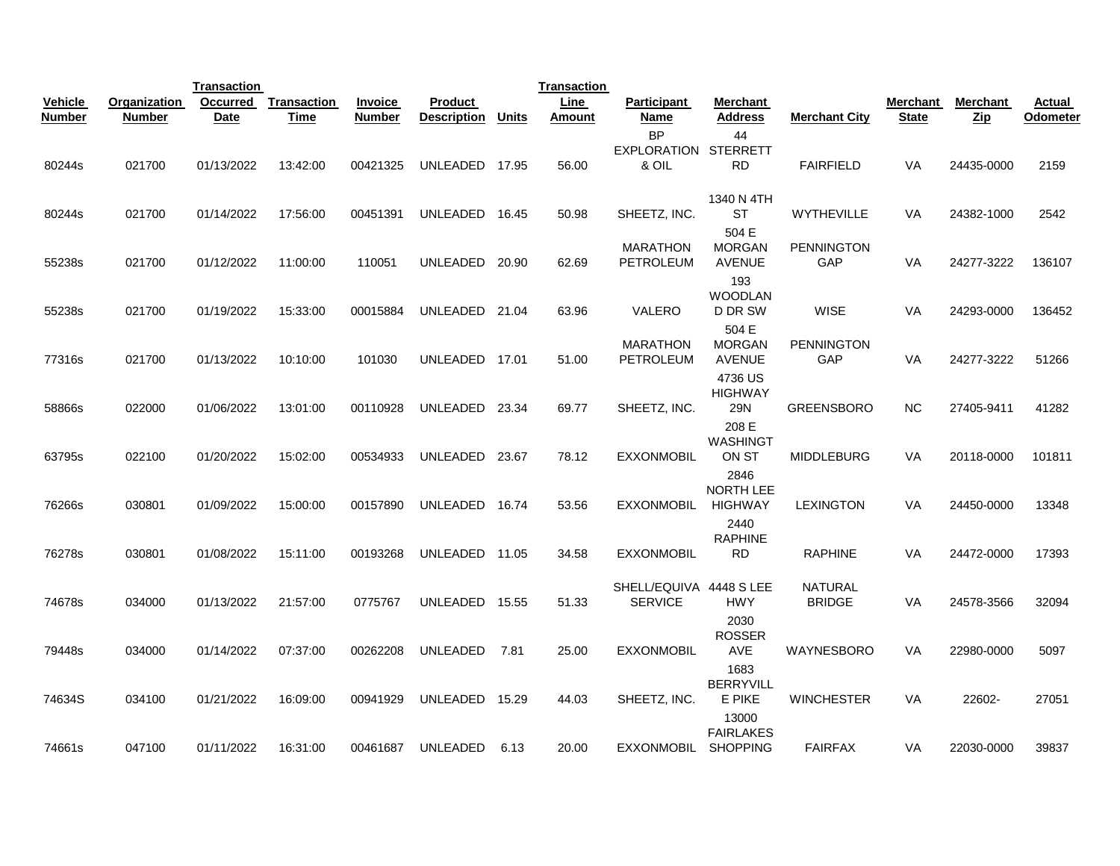|               |               | <b>Transaction</b> |             |                |                    |              | <b>Transaction</b> |                                           |                                              |                                 |              |                 |          |
|---------------|---------------|--------------------|-------------|----------------|--------------------|--------------|--------------------|-------------------------------------------|----------------------------------------------|---------------------------------|--------------|-----------------|----------|
| Vehicle       | Organization  | <b>Occurred</b>    | Transaction | <b>Invoice</b> | <b>Product</b>     |              | Line               | <b>Participant</b>                        | Merchant                                     |                                 | Merchant     | <b>Merchant</b> | Actual   |
| <b>Number</b> | <b>Number</b> | Date               | Time        | <b>Number</b>  | <b>Description</b> | <b>Units</b> | Amount             | Name                                      | Address                                      | <b>Merchant City</b>            | <b>State</b> | $_{\rm Zip}$    | Odometer |
| 80244s        | 021700        | 01/13/2022         | 13:42:00    | 00421325       | UNLEADED           | 17.95        | 56.00              | <b>BP</b><br><b>EXPLORATION</b><br>& OIL  | 44<br><b>STERRETT</b><br>RD                  | <b>FAIRFIELD</b>                | VA           | 24435-0000      | 2159     |
| 80244s        | 021700        | 01/14/2022         | 17:56:00    | 00451391       | UNLEADED           | 16.45        | 50.98              | SHEETZ, INC.                              | 1340 N 4TH<br><b>ST</b>                      | <b>WYTHEVILLE</b>               | <b>VA</b>    | 24382-1000      | 2542     |
| 55238s        | 021700        | 01/12/2022         | 11:00:00    | 110051         | UNLEADED           | 20.90        | 62.69              | <b>MARATHON</b><br><b>PETROLEUM</b>       | 504 E<br><b>MORGAN</b><br><b>AVENUE</b>      | <b>PENNINGTON</b><br>GAP        | <b>VA</b>    | 24277-3222      | 136107   |
| 55238s        | 021700        | 01/19/2022         | 15:33:00    | 00015884       | UNLEADED 21.04     |              | 63.96              | VALERO                                    | 193<br><b>WOODLAN</b><br>D DR SW             | <b>WISE</b>                     | VA           | 24293-0000      | 136452   |
| 77316s        | 021700        | 01/13/2022         | 10:10:00    | 101030         | UNLEADED           | 17.01        | 51.00              | <b>MARATHON</b><br>PETROLEUM              | 504 E<br><b>MORGAN</b><br><b>AVENUE</b>      | <b>PENNINGTON</b><br><b>GAP</b> | VA           | 24277-3222      | 51266    |
| 58866s        | 022000        | 01/06/2022         | 13:01:00    | 00110928       | UNLEADED 23.34     |              | 69.77              | SHEETZ, INC.                              | 4736 US<br><b>HIGHWAY</b><br>29N             | <b>GREENSBORO</b>               | <b>NC</b>    | 27405-9411      | 41282    |
|               |               |                    |             |                |                    |              |                    |                                           | 208 E<br><b>WASHINGT</b>                     |                                 |              |                 |          |
| 63795s        | 022100        | 01/20/2022         | 15:02:00    | 00534933       | UNLEADED           | 23.67        | 78.12              | <b>EXXONMOBIL</b>                         | ON ST<br>2846<br>NORTH LEE                   | <b>MIDDLEBURG</b>               | VA           | 20118-0000      | 101811   |
| 76266s        | 030801        | 01/09/2022         | 15:00:00    | 00157890       | UNLEADED           | 16.74        | 53.56              | <b>EXXONMOBIL</b>                         | <b>HIGHWAY</b><br>2440                       | <b>LEXINGTON</b>                | VA           | 24450-0000      | 13348    |
| 76278s        | 030801        | 01/08/2022         | 15:11:00    | 00193268       | UNLEADED           | 11.05        | 34.58              | <b>EXXONMOBIL</b>                         | <b>RAPHINE</b><br>RD                         | <b>RAPHINE</b>                  | <b>VA</b>    | 24472-0000      | 17393    |
| 74678s        | 034000        | 01/13/2022         | 21:57:00    | 0775767        | UNLEADED           | 15.55        | 51.33              | SHELL/EQUIVA 4448 S LEE<br><b>SERVICE</b> | <b>HWY</b>                                   | <b>NATURAL</b><br><b>BRIDGE</b> | VA           | 24578-3566      | 32094    |
| 79448s        | 034000        | 01/14/2022         | 07:37:00    | 00262208       | <b>UNLEADED</b>    | 7.81         | 25.00              | <b>EXXONMOBIL</b>                         | 2030<br><b>ROSSER</b><br><b>AVE</b>          | WAYNESBORO                      | <b>VA</b>    | 22980-0000      | 5097     |
| 74634S        | 034100        | 01/21/2022         | 16:09:00    | 00941929       | UNLEADED           | 15.29        | 44.03              | SHEETZ, INC.                              | 1683<br><b>BERRYVILL</b><br>E PIKE           | <b>WINCHESTER</b>               | <b>VA</b>    | 22602-          | 27051    |
| 74661s        | 047100        | 01/11/2022         | 16:31:00    | 00461687       | <b>UNLEADED</b>    | 6.13         | 20.00              | <b>EXXONMOBIL</b>                         | 13000<br><b>FAIRLAKES</b><br><b>SHOPPING</b> | <b>FAIRFAX</b>                  | VA           | 22030-0000      | 39837    |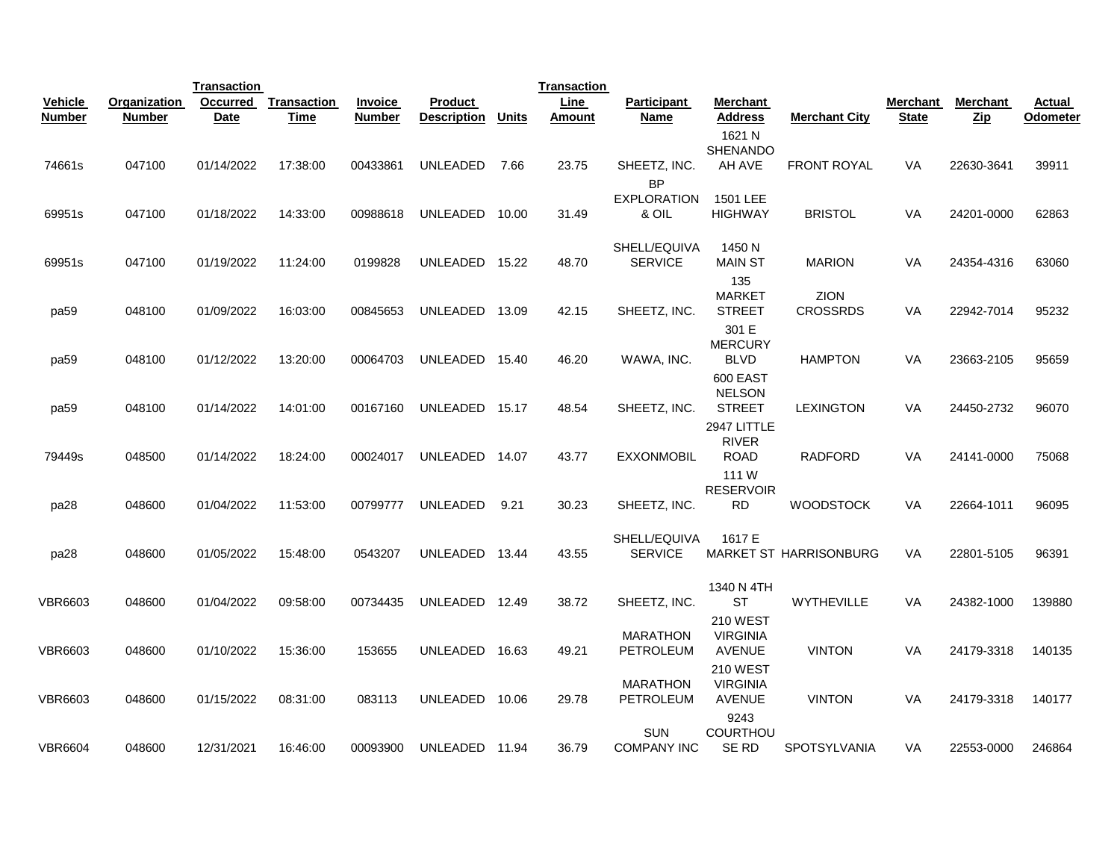|                                 |                                      | <b>Transaction</b>      |                            |                                 |                                      |       | <b>Transaction</b> |                                  |                                                     |                         |                          |                 |                           |
|---------------------------------|--------------------------------------|-------------------------|----------------------------|---------------------------------|--------------------------------------|-------|--------------------|----------------------------------|-----------------------------------------------------|-------------------------|--------------------------|-----------------|---------------------------|
| <b>Vehicle</b><br><b>Number</b> | <b>Organization</b><br><b>Number</b> | Occurred<br><b>Date</b> | <b>Transaction</b><br>Time | <b>Invoice</b><br><b>Number</b> | <b>Product</b><br><b>Description</b> | Units | Line<br>Amount     | <b>Participant</b><br>Name       | <b>Merchant</b><br>Address                          | <b>Merchant City</b>    | <b>Merchant</b><br>State | <b>Merchant</b> | <b>Actual</b><br>Odometer |
|                                 |                                      |                         |                            |                                 |                                      |       |                    |                                  | 1621 N<br>SHENANDO                                  |                         |                          | Zip             |                           |
| 74661s                          | 047100                               | 01/14/2022              | 17:38:00                   | 00433861                        | <b>UNLEADED</b>                      | 7.66  | 23.75              | SHEETZ, INC.<br><b>BP</b>        | AH AVE                                              | <b>FRONT ROYAL</b>      | VA                       | 22630-3641      | 39911                     |
| 69951s                          | 047100                               | 01/18/2022              | 14:33:00                   | 00988618                        | UNLEADED                             | 10.00 | 31.49              | <b>EXPLORATION</b><br>& OIL      | 1501 LEE<br><b>HIGHWAY</b>                          | <b>BRISTOL</b>          | VA                       | 24201-0000      | 62863                     |
| 69951s                          | 047100                               | 01/19/2022              | 11:24:00                   | 0199828                         | UNLEADED 15.22                       |       | 48.70              | SHELL/EQUIVA<br><b>SERVICE</b>   | 1450 N<br><b>MAIN ST</b><br>135                     | <b>MARION</b>           | VA                       | 24354-4316      | 63060                     |
| pa <sub>59</sub>                | 048100                               | 01/09/2022              | 16:03:00                   | 00845653                        | UNLEADED                             | 13.09 | 42.15              | SHEETZ, INC.                     | <b>MARKET</b><br><b>STREET</b>                      | ZION<br><b>CROSSRDS</b> | VA                       | 22942-7014      | 95232                     |
| pa <sub>59</sub>                | 048100                               | 01/12/2022              | 13:20:00                   | 00064703                        | UNLEADED                             | 15.40 | 46.20              | WAWA, INC.                       | 301 E<br><b>MERCURY</b><br><b>BLVD</b>              | <b>HAMPTON</b>          | VA                       | 23663-2105      | 95659                     |
| pa <sub>59</sub>                | 048100                               | 01/14/2022              | 14:01:00                   | 00167160                        | UNLEADED 15.17                       |       | 48.54              | SHEETZ, INC.                     | 600 EAST<br><b>NELSON</b><br><b>STREET</b>          | <b>LEXINGTON</b>        | VA                       | 24450-2732      | 96070                     |
| 79449s                          | 048500                               | 01/14/2022              | 18:24:00                   | 00024017                        | UNLEADED                             | 14.07 | 43.77              | <b>EXXONMOBIL</b>                | 2947 LITTLE<br><b>RIVER</b><br><b>ROAD</b>          | <b>RADFORD</b>          | VA                       | 24141-0000      | 75068                     |
| pa28                            | 048600                               | 01/04/2022              | 11:53:00                   | 00799777                        | UNLEADED                             | 9.21  | 30.23              | SHEETZ, INC.                     | 111 W<br><b>RESERVOIR</b><br><b>RD</b>              | <b>WOODSTOCK</b>        | VA                       | 22664-1011      | 96095                     |
| pa28                            | 048600                               | 01/05/2022              | 15:48:00                   | 0543207                         | UNLEADED                             | 13.44 | 43.55              | SHELL/EQUIVA<br><b>SERVICE</b>   | 1617 E                                              | MARKET ST HARRISONBURG  | VA                       | 22801-5105      | 96391                     |
| <b>VBR6603</b>                  | 048600                               | 01/04/2022              | 09:58:00                   | 00734435                        | UNLEADED                             | 12.49 | 38.72              | SHEETZ, INC.                     | 1340 N 4TH<br><b>ST</b>                             | <b>WYTHEVILLE</b>       | VA                       | 24382-1000      | 139880                    |
| <b>VBR6603</b>                  | 048600                               | 01/10/2022              | 15:36:00                   | 153655                          | UNLEADED                             | 16.63 | 49.21              | <b>MARATHON</b><br>PETROLEUM     | <b>210 WEST</b><br><b>VIRGINIA</b><br><b>AVENUE</b> | <b>VINTON</b>           | VA                       | 24179-3318      | 140135                    |
| <b>VBR6603</b>                  | 048600                               | 01/15/2022              | 08:31:00                   | 083113                          | UNLEADED                             | 10.06 | 29.78              | <b>MARATHON</b><br>PETROLEUM     | <b>210 WEST</b><br><b>VIRGINIA</b><br><b>AVENUE</b> | <b>VINTON</b>           | VA                       | 24179-3318      | 140177                    |
| <b>VBR6604</b>                  | 048600                               | 12/31/2021              | 16:46:00                   | 00093900                        | UNLEADED 11.94                       |       | 36.79              | <b>SUN</b><br><b>COMPANY INC</b> | 9243<br><b>COURTHOU</b><br>SE RD                    | <b>SPOTSYLVANIA</b>     | VA                       | 22553-0000      | 246864                    |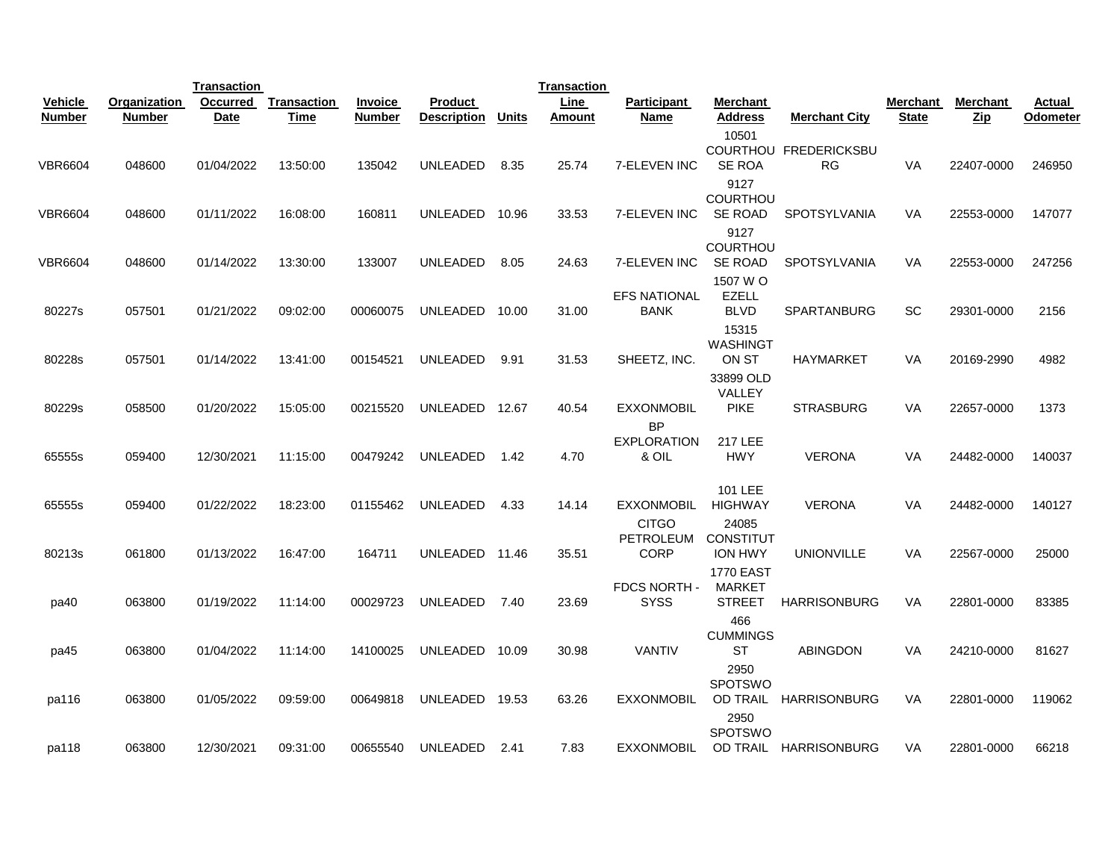|                |               | <b>Transaction</b> |             |                |                    |       | <b>Transaction</b> |                                    |                                                           |                             |          |                      |          |
|----------------|---------------|--------------------|-------------|----------------|--------------------|-------|--------------------|------------------------------------|-----------------------------------------------------------|-----------------------------|----------|----------------------|----------|
| <b>Vehicle</b> | Organization  | Occurred           | Transaction | <b>Invoice</b> | Product            |       | <b>Line</b>        | <b>Participant</b>                 | Merchant                                                  |                             | Merchant | Merchant             | Actual   |
| <b>Number</b>  | <b>Number</b> | <b>Date</b>        | Time        | <b>Number</b>  | <b>Description</b> | Units | <b>Amount</b>      | Name                               | <b>Address</b>                                            | <b>Merchant City</b>        | State    | $_{\underline{Zip}}$ | Odometer |
| <b>VBR6604</b> | 048600        | 01/04/2022         | 13:50:00    | 135042         | UNLEADED           | 8.35  | 25.74              | 7-ELEVEN INC                       | 10501<br>SE ROA<br>9127<br><b>COURTHOU</b>                | COURTHOU FREDERICKSBU<br>RG | VA       | 22407-0000           | 246950   |
| <b>VBR6604</b> | 048600        | 01/11/2022         | 16:08:00    | 160811         | UNLEADED           | 10.96 | 33.53              | 7-ELEVEN INC                       | SE ROAD                                                   | SPOTSYLVANIA                | VA       | 22553-0000           | 147077   |
| <b>VBR6604</b> | 048600        | 01/14/2022         | 13:30:00    | 133007         | UNLEADED           | 8.05  | 24.63              | 7-ELEVEN INC                       | 9127<br>COURTHOU<br><b>SE ROAD</b><br>1507 W O            | <b>SPOTSYLVANIA</b>         | VA       | 22553-0000           | 247256   |
| 80227s         | 057501        | 01/21/2022         | 09:02:00    | 00060075       | UNLEADED           | 10.00 | 31.00              | <b>EFS NATIONAL</b><br><b>BANK</b> | <b>EZELL</b><br><b>BLVD</b>                               | <b>SPARTANBURG</b>          | SC       | 29301-0000           | 2156     |
| 80228s         | 057501        | 01/14/2022         | 13:41:00    | 00154521       | UNLEADED           | 9.91  | 31.53              | SHEETZ, INC.                       | 15315<br>WASHINGT<br>ON ST<br>33899 OLD                   | HAYMARKET                   | VA       | 20169-2990           | 4982     |
| 80229s         | 058500        | 01/20/2022         | 15:05:00    | 00215520       | UNLEADED           | 12.67 | 40.54              | <b>EXXONMOBIL</b><br><b>BP</b>     | VALLEY<br><b>PIKE</b>                                     | <b>STRASBURG</b>            | VA       | 22657-0000           | 1373     |
| 65555s         | 059400        | 12/30/2021         | 11:15:00    | 00479242       | <b>UNLEADED</b>    | 1.42  | 4.70               | <b>EXPLORATION</b><br>& OIL        | <b>217 LEE</b><br><b>HWY</b>                              | <b>VERONA</b>               | VA       | 24482-0000           | 140037   |
| 65555s         | 059400        | 01/22/2022         | 18:23:00    | 01155462       | UNLEADED           | 4.33  | 14.14              | <b>EXXONMOBIL</b><br><b>CITGO</b>  | 101 LEE<br><b>HIGHWAY</b><br>24085                        | <b>VERONA</b>               | VA       | 24482-0000           | 140127   |
| 80213s         | 061800        | 01/13/2022         | 16:47:00    | 164711         | UNLEADED           | 11.46 | 35.51              | PETROLEUM<br><b>CORP</b>           | <b>CONSTITUT</b><br><b>ION HWY</b>                        | <b>UNIONVILLE</b>           | VA       | 22567-0000           | 25000    |
| pa40           | 063800        | 01/19/2022         | 11:14:00    | 00029723       | UNLEADED           | 7.40  | 23.69              | FDCS NORTH -<br><b>SYSS</b>        | <b>1770 EAST</b><br><b>MARKET</b><br><b>STREET</b><br>466 | <b>HARRISONBURG</b>         | VA       | 22801-0000           | 83385    |
| pa45           | 063800        | 01/04/2022         | 11:14:00    | 14100025       | UNLEADED           | 10.09 | 30.98              | <b>VANTIV</b>                      | <b>CUMMINGS</b><br>ST<br>2950                             | <b>ABINGDON</b>             | VA       | 24210-0000           | 81627    |
| pa116          | 063800        | 01/05/2022         | 09:59:00    | 00649818       | UNLEADED           | 19.53 | 63.26              | <b>EXXONMOBIL</b>                  | <b>SPOTSWO</b><br>OD TRAIL<br>2950                        | <b>HARRISONBURG</b>         | VA       | 22801-0000           | 119062   |
| pa118          | 063800        | 12/30/2021         | 09:31:00    | 00655540       | UNLEADED           | 2.41  | 7.83               | <b>EXXONMOBIL</b>                  | <b>SPOTSWO</b>                                            | OD TRAIL HARRISONBURG       | VA       | 22801-0000           | 66218    |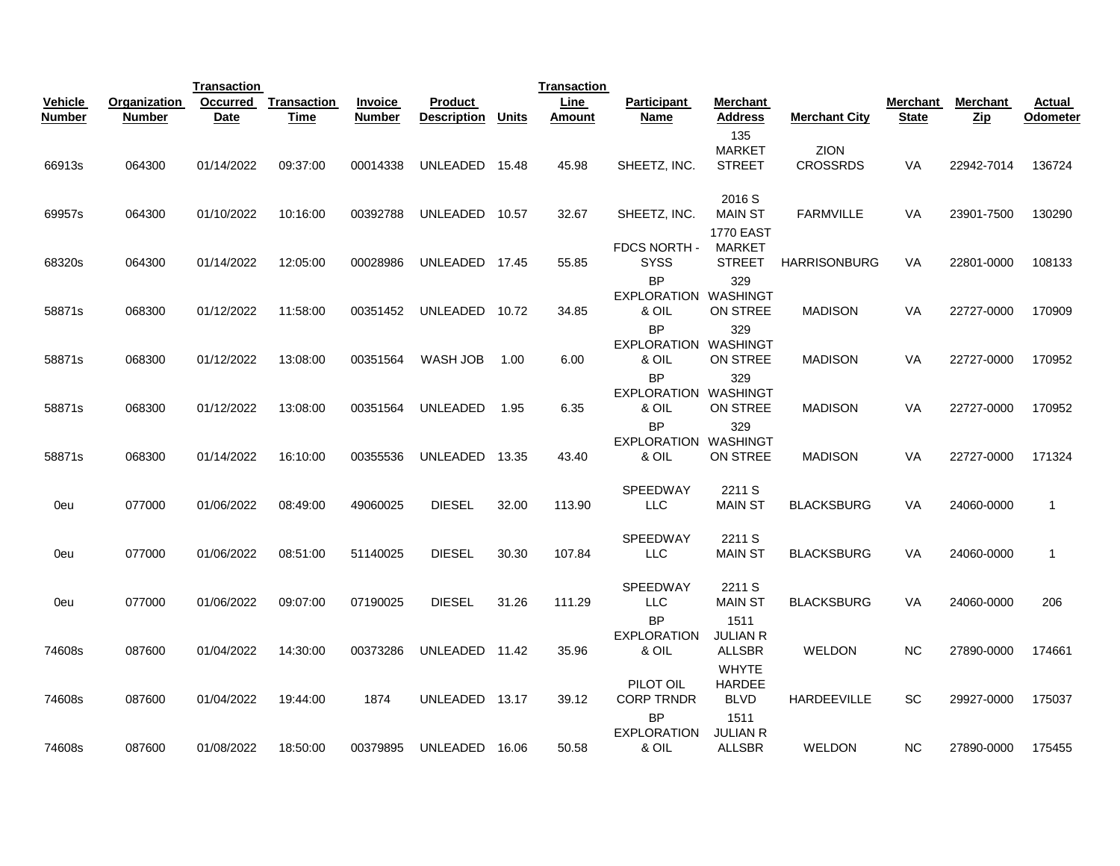|                |               | <b>Transaction</b> |             |                |                    |              | <b>Transaction</b> |                                          |                                              |                         |              |                 |                |
|----------------|---------------|--------------------|-------------|----------------|--------------------|--------------|--------------------|------------------------------------------|----------------------------------------------|-------------------------|--------------|-----------------|----------------|
| <b>Vehicle</b> | Organization  | <b>Occurred</b>    | Transaction | <b>Invoice</b> | <b>Product</b>     |              | <b>Line</b>        | <b>Participant</b>                       | Merchant                                     |                         | Merchant     | <b>Merchant</b> | Actual         |
| <b>Number</b>  | <b>Number</b> | Date               | Time        | <b>Number</b>  | <b>Description</b> | <b>Units</b> | Amount             | Name                                     | Address                                      | <b>Merchant City</b>    | <b>State</b> | $\mathbf{Zip}$  | Odometer       |
| 66913s         | 064300        | 01/14/2022         | 09:37:00    | 00014338       | UNLEADED           | 15.48        | 45.98              | SHEETZ, INC.                             | 135<br><b>MARKET</b><br><b>STREET</b>        | ZION<br><b>CROSSRDS</b> | VA           | 22942-7014      | 136724         |
| 69957s         | 064300        | 01/10/2022         | 10:16:00    | 00392788       | UNLEADED           | 10.57        | 32.67              | SHEETZ, INC.                             | 2016 S<br><b>MAIN ST</b><br><b>1770 EAST</b> | FARMVILLE               | <b>VA</b>    | 23901-7500      | 130290         |
| 68320s         | 064300        | 01/14/2022         | 12:05:00    | 00028986       | UNLEADED           | 17.45        | 55.85              | <b>FDCS NORTH -</b><br><b>SYSS</b>       | <b>MARKET</b><br><b>STREET</b>               | <b>HARRISONBURG</b>     | <b>VA</b>    | 22801-0000      | 108133         |
| 58871s         | 068300        | 01/12/2022         | 11:58:00    | 00351452       | UNLEADED           | 10.72        | 34.85              | <b>BP</b><br><b>EXPLORATION</b><br>& OIL | 329<br>WASHINGT<br>ON STREE                  | <b>MADISON</b>          | VA           | 22727-0000      | 170909         |
| 58871s         | 068300        | 01/12/2022         | 13:08:00    | 00351564       | WASH JOB           | 1.00         | 6.00               | <b>BP</b><br><b>EXPLORATION</b><br>& OIL | 329<br>WASHINGT<br>ON STREE                  | <b>MADISON</b>          | <b>VA</b>    | 22727-0000      | 170952         |
| 58871s         | 068300        | 01/12/2022         | 13:08:00    | 00351564       | UNLEADED           | 1.95         | 6.35               | <b>BP</b><br><b>EXPLORATION</b><br>& OIL | 329<br>WASHINGT<br>ON STREE                  | <b>MADISON</b>          | VA           | 22727-0000      | 170952         |
| 58871s         | 068300        | 01/14/2022         | 16:10:00    | 00355536       | UNLEADED           | 13.35        | 43.40              | <b>BP</b><br><b>EXPLORATION</b><br>& OIL | 329<br>WASHINGT<br>ON STREE                  | <b>MADISON</b>          | VA           | 22727-0000      | 171324         |
| 0eu            | 077000        | 01/06/2022         | 08:49:00    | 49060025       | <b>DIESEL</b>      | 32.00        | 113.90             | <b>SPEEDWAY</b><br><b>LLC</b>            | 2211 S<br><b>MAIN ST</b>                     | <b>BLACKSBURG</b>       | VA           | 24060-0000      | $\mathbf{1}$   |
| 0eu            | 077000        | 01/06/2022         | 08:51:00    | 51140025       | <b>DIESEL</b>      | 30.30        | 107.84             | <b>SPEEDWAY</b><br><b>LLC</b>            | 2211 S<br><b>MAIN ST</b>                     | <b>BLACKSBURG</b>       | <b>VA</b>    | 24060-0000      | $\overline{1}$ |
| 0eu            | 077000        | 01/06/2022         | 09:07:00    | 07190025       | <b>DIESEL</b>      | 31.26        | 111.29             | <b>SPEEDWAY</b><br><b>LLC</b>            | 2211 S<br><b>MAIN ST</b>                     | <b>BLACKSBURG</b>       | VA           | 24060-0000      | 206            |
| 74608s         | 087600        | 01/04/2022         | 14:30:00    | 00373286       | UNLEADED           | 11.42        | 35.96              | <b>BP</b><br><b>EXPLORATION</b><br>& OIL | 1511<br><b>JULIAN R</b><br><b>ALLSBR</b>     | <b>WELDON</b>           | <b>NC</b>    | 27890-0000      | 174661         |
| 74608s         | 087600        | 01/04/2022         | 19:44:00    | 1874           | UNLEADED           | 13.17        | 39.12              | PILOT OIL<br><b>CORP TRNDR</b>           | <b>WHYTE</b><br><b>HARDEE</b><br><b>BLVD</b> | <b>HARDEEVILLE</b>      | SC           | 29927-0000      | 175037         |
| 74608s         | 087600        | 01/08/2022         | 18:50:00    | 00379895       | UNLEADED           | 16.06        | 50.58              | <b>BP</b><br><b>EXPLORATION</b><br>& OIL | 1511<br><b>JULIAN R</b><br><b>ALLSBR</b>     | <b>WELDON</b>           | <b>NC</b>    | 27890-0000      | 175455         |